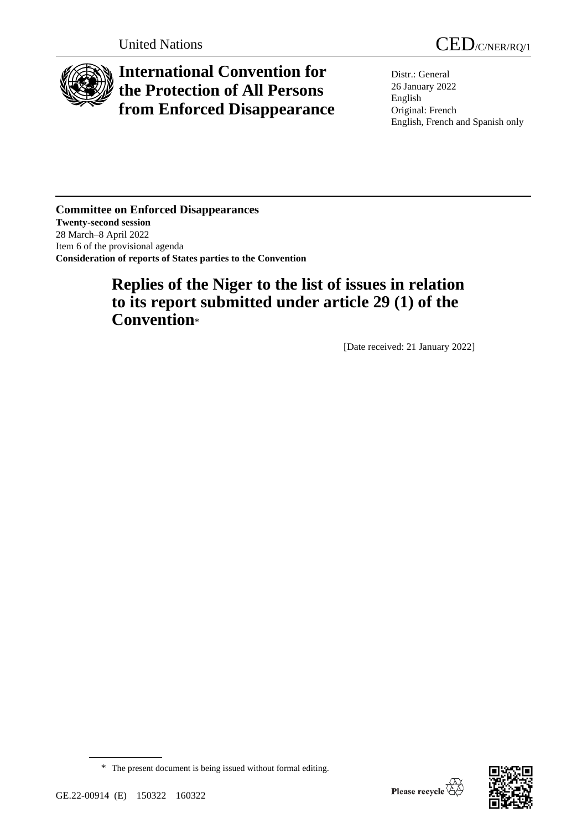

# **International Convention for the Protection of All Persons from Enforced Disappearance**

Distr.: General 26 January 2022 English Original: French English, French and Spanish only

**Committee on Enforced Disappearances Twenty-second session** 28 March–8 April 2022 Item 6 of the provisional agenda **Consideration of reports of States parties to the Convention**

# **Replies of the Niger to the list of issues in relation to its report submitted under article 29 (1) of the Convention**\*

[Date received: 21 January 2022]

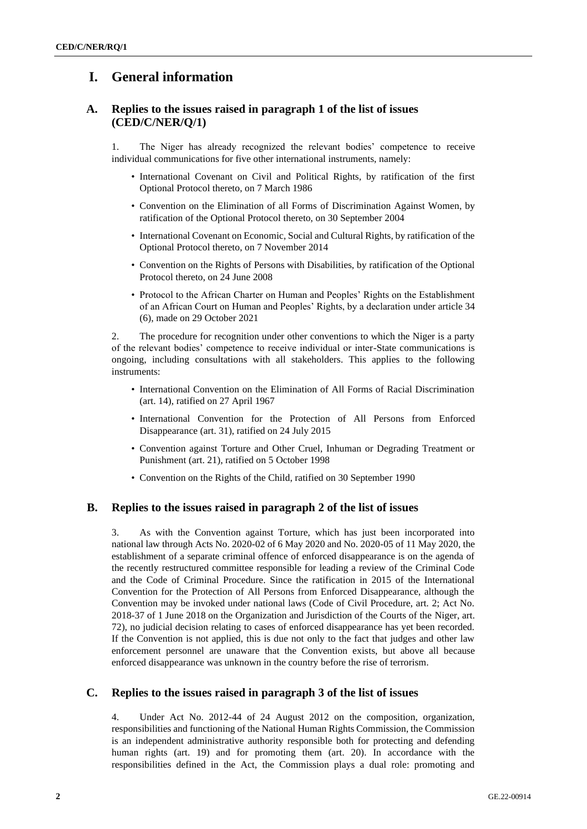# **I. General information**

## **A. Replies to the issues raised in paragraph 1 of the list of issues (CED/C/NER/Q/1)**

1. The Niger has already recognized the relevant bodies' competence to receive individual communications for five other international instruments, namely:

- International Covenant on Civil and Political Rights, by ratification of the first Optional Protocol thereto, on 7 March 1986
- Convention on the Elimination of all Forms of Discrimination Against Women, by ratification of the Optional Protocol thereto, on 30 September 2004
- International Covenant on Economic, Social and Cultural Rights, by ratification of the Optional Protocol thereto, on 7 November 2014
- Convention on the Rights of Persons with Disabilities, by ratification of the Optional Protocol thereto, on 24 June 2008
- Protocol to the African Charter on Human and Peoples' Rights on the Establishment of an African Court on Human and Peoples' Rights, by a declaration under article 34 (6), made on 29 October 2021

2. The procedure for recognition under other conventions to which the Niger is a party of the relevant bodies' competence to receive individual or inter-State communications is ongoing, including consultations with all stakeholders. This applies to the following instruments:

- International Convention on the Elimination of All Forms of Racial Discrimination (art. 14), ratified on 27 April 1967
- International Convention for the Protection of All Persons from Enforced Disappearance (art. 31), ratified on 24 July 2015
- Convention against Torture and Other Cruel, Inhuman or Degrading Treatment or Punishment (art. 21), ratified on 5 October 1998
- Convention on the Rights of the Child, ratified on 30 September 1990

#### **B. Replies to the issues raised in paragraph 2 of the list of issues**

3. As with the Convention against Torture, which has just been incorporated into national law through Acts No. 2020-02 of 6 May 2020 and No. 2020-05 of 11 May 2020, the establishment of a separate criminal offence of enforced disappearance is on the agenda of the recently restructured committee responsible for leading a review of the Criminal Code and the Code of Criminal Procedure. Since the ratification in 2015 of the International Convention for the Protection of All Persons from Enforced Disappearance, although the Convention may be invoked under national laws (Code of Civil Procedure, art. 2; Act No. 2018-37 of 1 June 2018 on the Organization and Jurisdiction of the Courts of the Niger, art. 72), no judicial decision relating to cases of enforced disappearance has yet been recorded. If the Convention is not applied, this is due not only to the fact that judges and other law enforcement personnel are unaware that the Convention exists, but above all because enforced disappearance was unknown in the country before the rise of terrorism.

#### **C. Replies to the issues raised in paragraph 3 of the list of issues**

4. Under Act No. 2012-44 of 24 August 2012 on the composition, organization, responsibilities and functioning of the National Human Rights Commission, the Commission is an independent administrative authority responsible both for protecting and defending human rights (art. 19) and for promoting them (art. 20). In accordance with the responsibilities defined in the Act, the Commission plays a dual role: promoting and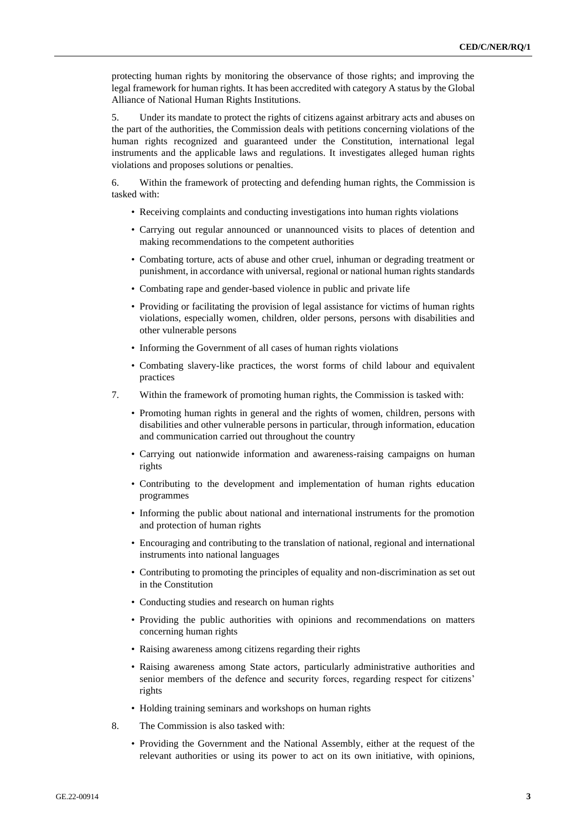protecting human rights by monitoring the observance of those rights; and improving the legal framework for human rights. It has been accredited with category A status by the Global Alliance of National Human Rights Institutions.

5. Under its mandate to protect the rights of citizens against arbitrary acts and abuses on the part of the authorities, the Commission deals with petitions concerning violations of the human rights recognized and guaranteed under the Constitution, international legal instruments and the applicable laws and regulations. It investigates alleged human rights violations and proposes solutions or penalties.

6. Within the framework of protecting and defending human rights, the Commission is tasked with:

- Receiving complaints and conducting investigations into human rights violations
- Carrying out regular announced or unannounced visits to places of detention and making recommendations to the competent authorities
- Combating torture, acts of abuse and other cruel, inhuman or degrading treatment or punishment, in accordance with universal, regional or national human rights standards
- Combating rape and gender-based violence in public and private life
- Providing or facilitating the provision of legal assistance for victims of human rights violations, especially women, children, older persons, persons with disabilities and other vulnerable persons
- Informing the Government of all cases of human rights violations
- Combating slavery-like practices, the worst forms of child labour and equivalent practices
- 7. Within the framework of promoting human rights, the Commission is tasked with:
	- Promoting human rights in general and the rights of women, children, persons with disabilities and other vulnerable persons in particular, through information, education and communication carried out throughout the country
	- Carrying out nationwide information and awareness-raising campaigns on human rights
	- Contributing to the development and implementation of human rights education programmes
	- Informing the public about national and international instruments for the promotion and protection of human rights
	- Encouraging and contributing to the translation of national, regional and international instruments into national languages
	- Contributing to promoting the principles of equality and non-discrimination as set out in the Constitution
	- Conducting studies and research on human rights
	- Providing the public authorities with opinions and recommendations on matters concerning human rights
	- Raising awareness among citizens regarding their rights
	- Raising awareness among State actors, particularly administrative authorities and senior members of the defence and security forces, regarding respect for citizens' rights
	- Holding training seminars and workshops on human rights
- 8. The Commission is also tasked with:
	- Providing the Government and the National Assembly, either at the request of the relevant authorities or using its power to act on its own initiative, with opinions,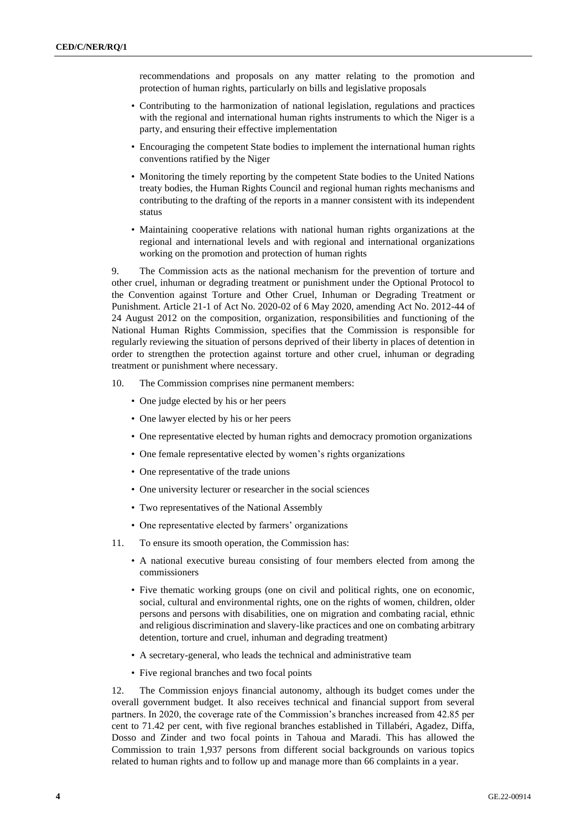recommendations and proposals on any matter relating to the promotion and protection of human rights, particularly on bills and legislative proposals

- Contributing to the harmonization of national legislation, regulations and practices with the regional and international human rights instruments to which the Niger is a party, and ensuring their effective implementation
- Encouraging the competent State bodies to implement the international human rights conventions ratified by the Niger
- Monitoring the timely reporting by the competent State bodies to the United Nations treaty bodies, the Human Rights Council and regional human rights mechanisms and contributing to the drafting of the reports in a manner consistent with its independent status
- Maintaining cooperative relations with national human rights organizations at the regional and international levels and with regional and international organizations working on the promotion and protection of human rights

9. The Commission acts as the national mechanism for the prevention of torture and other cruel, inhuman or degrading treatment or punishment under the Optional Protocol to the Convention against Torture and Other Cruel, Inhuman or Degrading Treatment or Punishment. Article 21-1 of Act No. 2020-02 of 6 May 2020, amending Act No. 2012-44 of 24 August 2012 on the composition, organization, responsibilities and functioning of the National Human Rights Commission, specifies that the Commission is responsible for regularly reviewing the situation of persons deprived of their liberty in places of detention in order to strengthen the protection against torture and other cruel, inhuman or degrading treatment or punishment where necessary.

- 10. The Commission comprises nine permanent members:
	- One judge elected by his or her peers
	- One lawyer elected by his or her peers
	- One representative elected by human rights and democracy promotion organizations
	- One female representative elected by women's rights organizations
	- One representative of the trade unions
	- One university lecturer or researcher in the social sciences
	- Two representatives of the National Assembly
	- One representative elected by farmers' organizations
- 11. To ensure its smooth operation, the Commission has:
	- A national executive bureau consisting of four members elected from among the commissioners
	- Five thematic working groups (one on civil and political rights, one on economic, social, cultural and environmental rights, one on the rights of women, children, older persons and persons with disabilities, one on migration and combating racial, ethnic and religious discrimination and slavery-like practices and one on combating arbitrary detention, torture and cruel, inhuman and degrading treatment)
	- A secretary-general, who leads the technical and administrative team
	- Five regional branches and two focal points

12. The Commission enjoys financial autonomy, although its budget comes under the overall government budget. It also receives technical and financial support from several partners. In 2020, the coverage rate of the Commission's branches increased from 42.85 per cent to 71.42 per cent, with five regional branches established in Tillabéri, Agadez, Diffa, Dosso and Zinder and two focal points in Tahoua and Maradi. This has allowed the Commission to train 1,937 persons from different social backgrounds on various topics related to human rights and to follow up and manage more than 66 complaints in a year.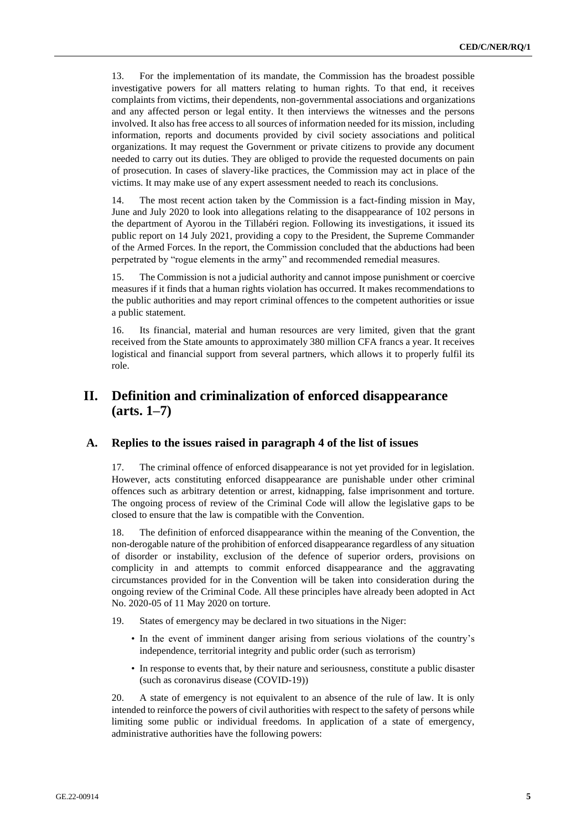13. For the implementation of its mandate, the Commission has the broadest possible investigative powers for all matters relating to human rights. To that end, it receives complaints from victims, their dependents, non-governmental associations and organizations and any affected person or legal entity. It then interviews the witnesses and the persons involved. It also has free access to all sources of information needed for its mission, including information, reports and documents provided by civil society associations and political organizations. It may request the Government or private citizens to provide any document needed to carry out its duties. They are obliged to provide the requested documents on pain of prosecution. In cases of slavery-like practices, the Commission may act in place of the victims. It may make use of any expert assessment needed to reach its conclusions.

14. The most recent action taken by the Commission is a fact-finding mission in May, June and July 2020 to look into allegations relating to the disappearance of 102 persons in the department of Ayorou in the Tillabéri region. Following its investigations, it issued its public report on 14 July 2021, providing a copy to the President, the Supreme Commander of the Armed Forces. In the report, the Commission concluded that the abductions had been perpetrated by "rogue elements in the army" and recommended remedial measures.

15. The Commission is not a judicial authority and cannot impose punishment or coercive measures if it finds that a human rights violation has occurred. It makes recommendations to the public authorities and may report criminal offences to the competent authorities or issue a public statement.

16. Its financial, material and human resources are very limited, given that the grant received from the State amounts to approximately 380 million CFA francs a year. It receives logistical and financial support from several partners, which allows it to properly fulfil its role.

## **II. Definition and criminalization of enforced disappearance (arts. 1–7)**

#### **A. Replies to the issues raised in paragraph 4 of the list of issues**

17. The criminal offence of enforced disappearance is not yet provided for in legislation. However, acts constituting enforced disappearance are punishable under other criminal offences such as arbitrary detention or arrest, kidnapping, false imprisonment and torture. The ongoing process of review of the Criminal Code will allow the legislative gaps to be closed to ensure that the law is compatible with the Convention.

18. The definition of enforced disappearance within the meaning of the Convention, the non-derogable nature of the prohibition of enforced disappearance regardless of any situation of disorder or instability, exclusion of the defence of superior orders, provisions on complicity in and attempts to commit enforced disappearance and the aggravating circumstances provided for in the Convention will be taken into consideration during the ongoing review of the Criminal Code. All these principles have already been adopted in Act No. 2020-05 of 11 May 2020 on torture.

- 19. States of emergency may be declared in two situations in the Niger:
	- In the event of imminent danger arising from serious violations of the country's independence, territorial integrity and public order (such as terrorism)
	- In response to events that, by their nature and seriousness, constitute a public disaster (such as coronavirus disease (COVID-19))

20. A state of emergency is not equivalent to an absence of the rule of law. It is only intended to reinforce the powers of civil authorities with respect to the safety of persons while limiting some public or individual freedoms. In application of a state of emergency, administrative authorities have the following powers: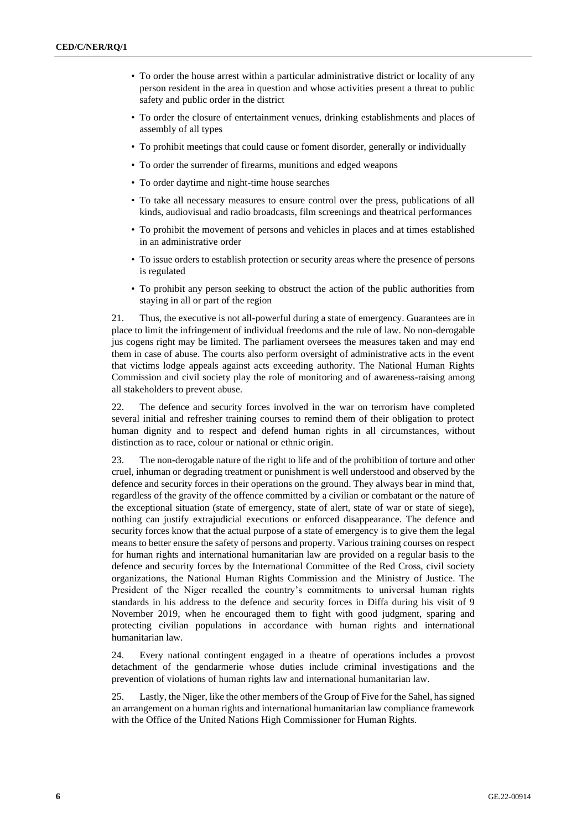- To order the house arrest within a particular administrative district or locality of any person resident in the area in question and whose activities present a threat to public safety and public order in the district
- To order the closure of entertainment venues, drinking establishments and places of assembly of all types
- To prohibit meetings that could cause or foment disorder, generally or individually
- To order the surrender of firearms, munitions and edged weapons
- To order daytime and night-time house searches
- To take all necessary measures to ensure control over the press, publications of all kinds, audiovisual and radio broadcasts, film screenings and theatrical performances
- To prohibit the movement of persons and vehicles in places and at times established in an administrative order
- To issue orders to establish protection or security areas where the presence of persons is regulated
- To prohibit any person seeking to obstruct the action of the public authorities from staying in all or part of the region

21. Thus, the executive is not all-powerful during a state of emergency. Guarantees are in place to limit the infringement of individual freedoms and the rule of law. No non-derogable jus cogens right may be limited. The parliament oversees the measures taken and may end them in case of abuse. The courts also perform oversight of administrative acts in the event that victims lodge appeals against acts exceeding authority. The National Human Rights Commission and civil society play the role of monitoring and of awareness-raising among all stakeholders to prevent abuse.

22. The defence and security forces involved in the war on terrorism have completed several initial and refresher training courses to remind them of their obligation to protect human dignity and to respect and defend human rights in all circumstances, without distinction as to race, colour or national or ethnic origin.

23. The non-derogable nature of the right to life and of the prohibition of torture and other cruel, inhuman or degrading treatment or punishment is well understood and observed by the defence and security forces in their operations on the ground. They always bear in mind that, regardless of the gravity of the offence committed by a civilian or combatant or the nature of the exceptional situation (state of emergency, state of alert, state of war or state of siege), nothing can justify extrajudicial executions or enforced disappearance. The defence and security forces know that the actual purpose of a state of emergency is to give them the legal means to better ensure the safety of persons and property. Various training courses on respect for human rights and international humanitarian law are provided on a regular basis to the defence and security forces by the International Committee of the Red Cross, civil society organizations, the National Human Rights Commission and the Ministry of Justice. The President of the Niger recalled the country's commitments to universal human rights standards in his address to the defence and security forces in Diffa during his visit of 9 November 2019, when he encouraged them to fight with good judgment, sparing and protecting civilian populations in accordance with human rights and international humanitarian law.

24. Every national contingent engaged in a theatre of operations includes a provost detachment of the gendarmerie whose duties include criminal investigations and the prevention of violations of human rights law and international humanitarian law.

25. Lastly, the Niger, like the other members of the Group of Five for the Sahel, has signed an arrangement on a human rights and international humanitarian law compliance framework with the Office of the United Nations High Commissioner for Human Rights.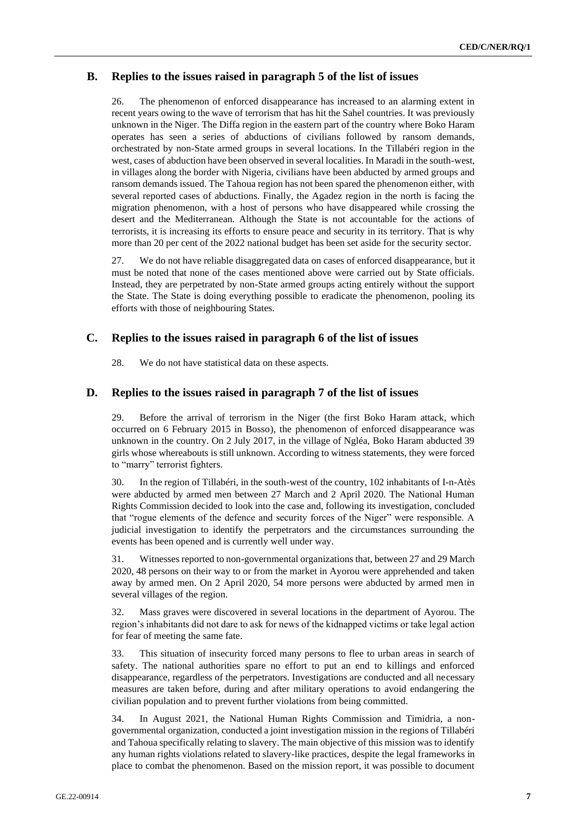#### **B. Replies to the issues raised in paragraph 5 of the list of issues**

26. The phenomenon of enforced disappearance has increased to an alarming extent in recent years owing to the wave of terrorism that has hit the Sahel countries. It was previously unknown in the Niger. The Diffa region in the eastern part of the country where Boko Haram operates has seen a series of abductions of civilians followed by ransom demands, orchestrated by non-State armed groups in several locations. In the Tillabéri region in the west, cases of abduction have been observed in several localities. In Maradi in the south-west, in villages along the border with Nigeria, civilians have been abducted by armed groups and ransom demands issued. The Tahoua region has not been spared the phenomenon either, with several reported cases of abductions. Finally, the Agadez region in the north is facing the migration phenomenon, with a host of persons who have disappeared while crossing the desert and the Mediterranean. Although the State is not accountable for the actions of terrorists, it is increasing its efforts to ensure peace and security in its territory. That is why more than 20 per cent of the 2022 national budget has been set aside for the security sector.

27. We do not have reliable disaggregated data on cases of enforced disappearance, but it must be noted that none of the cases mentioned above were carried out by State officials. Instead, they are perpetrated by non-State armed groups acting entirely without the support the State. The State is doing everything possible to eradicate the phenomenon, pooling its efforts with those of neighbouring States.

#### **C. Replies to the issues raised in paragraph 6 of the list of issues**

28. We do not have statistical data on these aspects.

#### **D. Replies to the issues raised in paragraph 7 of the list of issues**

29. Before the arrival of terrorism in the Niger (the first Boko Haram attack, which occurred on 6 February 2015 in Bosso), the phenomenon of enforced disappearance was unknown in the country. On 2 July 2017, in the village of Ngléa, Boko Haram abducted 39 girls whose whereabouts is still unknown. According to witness statements, they were forced to "marry" terrorist fighters.

30. In the region of Tillabéri, in the south-west of the country, 102 inhabitants of I-n-Atès were abducted by armed men between 27 March and 2 April 2020. The National Human Rights Commission decided to look into the case and, following its investigation, concluded that "rogue elements of the defence and security forces of the Niger" were responsible. A judicial investigation to identify the perpetrators and the circumstances surrounding the events has been opened and is currently well under way.

31. Witnesses reported to non-governmental organizations that, between 27 and 29 March 2020, 48 persons on their way to or from the market in Ayorou were apprehended and taken away by armed men. On 2 April 2020, 54 more persons were abducted by armed men in several villages of the region.

32. Mass graves were discovered in several locations in the department of Ayorou. The region's inhabitants did not dare to ask for news of the kidnapped victims or take legal action for fear of meeting the same fate.

33. This situation of insecurity forced many persons to flee to urban areas in search of safety. The national authorities spare no effort to put an end to killings and enforced disappearance, regardless of the perpetrators. Investigations are conducted and all necessary measures are taken before, during and after military operations to avoid endangering the civilian population and to prevent further violations from being committed.

34. In August 2021, the National Human Rights Commission and Timidria, a nongovernmental organization, conducted a joint investigation mission in the regions of Tillabéri and Tahoua specifically relating to slavery. The main objective of this mission was to identify any human rights violations related to slavery-like practices, despite the legal frameworks in place to combat the phenomenon. Based on the mission report, it was possible to document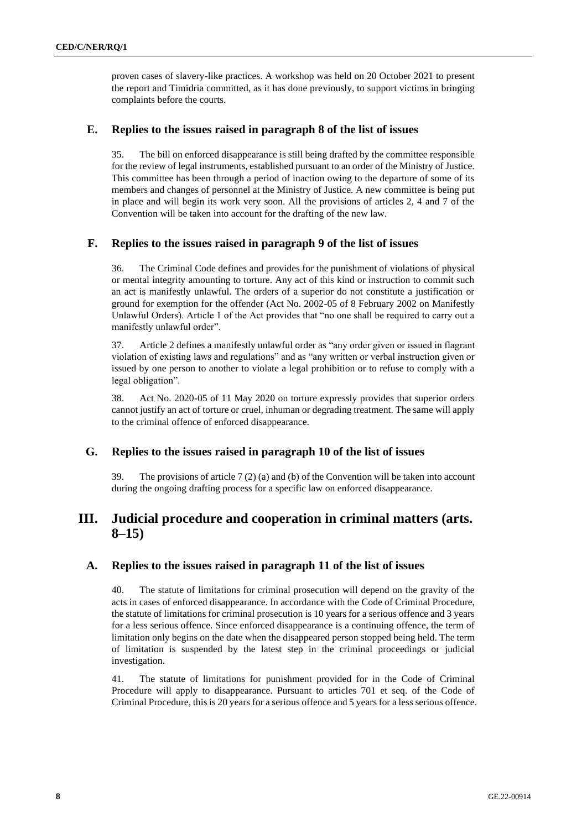proven cases of slavery-like practices. A workshop was held on 20 October 2021 to present the report and Timidria committed, as it has done previously, to support victims in bringing complaints before the courts.

### **E. Replies to the issues raised in paragraph 8 of the list of issues**

35. The bill on enforced disappearance is still being drafted by the committee responsible for the review of legal instruments, established pursuant to an order of the Ministry of Justice. This committee has been through a period of inaction owing to the departure of some of its members and changes of personnel at the Ministry of Justice. A new committee is being put in place and will begin its work very soon. All the provisions of articles 2, 4 and 7 of the Convention will be taken into account for the drafting of the new law.

### **F. Replies to the issues raised in paragraph 9 of the list of issues**

36. The Criminal Code defines and provides for the punishment of violations of physical or mental integrity amounting to torture. Any act of this kind or instruction to commit such an act is manifestly unlawful. The orders of a superior do not constitute a justification or ground for exemption for the offender (Act No. 2002-05 of 8 February 2002 on Manifestly Unlawful Orders). Article 1 of the Act provides that "no one shall be required to carry out a manifestly unlawful order".

37. Article 2 defines a manifestly unlawful order as "any order given or issued in flagrant violation of existing laws and regulations" and as "any written or verbal instruction given or issued by one person to another to violate a legal prohibition or to refuse to comply with a legal obligation".

38. Act No. 2020-05 of 11 May 2020 on torture expressly provides that superior orders cannot justify an act of torture or cruel, inhuman or degrading treatment. The same will apply to the criminal offence of enforced disappearance.

## **G. Replies to the issues raised in paragraph 10 of the list of issues**

39. The provisions of article 7 (2) (a) and (b) of the Convention will be taken into account during the ongoing drafting process for a specific law on enforced disappearance.

# **III. Judicial procedure and cooperation in criminal matters (arts. 8–15)**

#### **A. Replies to the issues raised in paragraph 11 of the list of issues**

40. The statute of limitations for criminal prosecution will depend on the gravity of the acts in cases of enforced disappearance. In accordance with the Code of Criminal Procedure, the statute of limitations for criminal prosecution is 10 years for a serious offence and 3 years for a less serious offence. Since enforced disappearance is a continuing offence, the term of limitation only begins on the date when the disappeared person stopped being held. The term of limitation is suspended by the latest step in the criminal proceedings or judicial investigation.

41. The statute of limitations for punishment provided for in the Code of Criminal Procedure will apply to disappearance. Pursuant to articles 701 et seq. of the Code of Criminal Procedure, this is 20 years for a serious offence and 5 years for a less serious offence.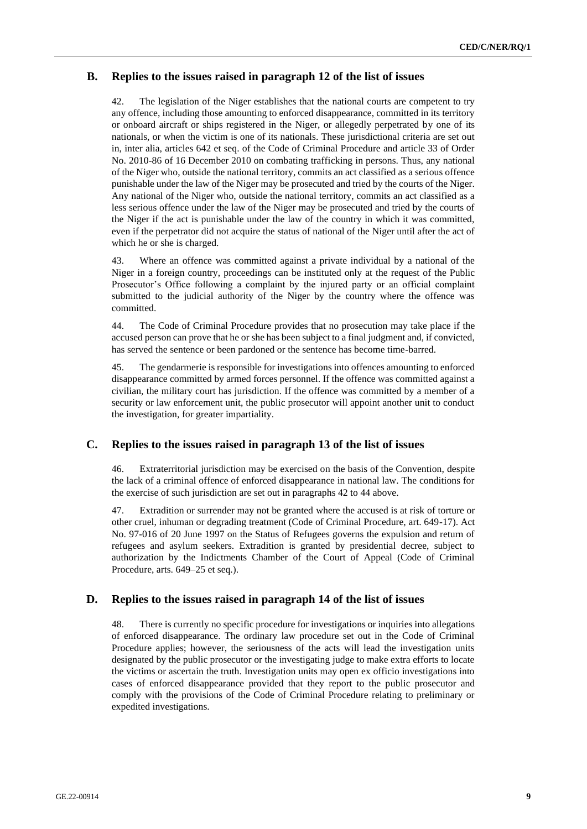#### **B. Replies to the issues raised in paragraph 12 of the list of issues**

42. The legislation of the Niger establishes that the national courts are competent to try any offence, including those amounting to enforced disappearance, committed in its territory or onboard aircraft or ships registered in the Niger, or allegedly perpetrated by one of its nationals, or when the victim is one of its nationals. These jurisdictional criteria are set out in, inter alia, articles 642 et seq. of the Code of Criminal Procedure and article 33 of Order No. 2010-86 of 16 December 2010 on combating trafficking in persons. Thus, any national of the Niger who, outside the national territory, commits an act classified as a serious offence punishable under the law of the Niger may be prosecuted and tried by the courts of the Niger. Any national of the Niger who, outside the national territory, commits an act classified as a less serious offence under the law of the Niger may be prosecuted and tried by the courts of the Niger if the act is punishable under the law of the country in which it was committed, even if the perpetrator did not acquire the status of national of the Niger until after the act of which he or she is charged.

43. Where an offence was committed against a private individual by a national of the Niger in a foreign country, proceedings can be instituted only at the request of the Public Prosecutor's Office following a complaint by the injured party or an official complaint submitted to the judicial authority of the Niger by the country where the offence was committed.

44. The Code of Criminal Procedure provides that no prosecution may take place if the accused person can prove that he or she has been subject to a final judgment and, if convicted, has served the sentence or been pardoned or the sentence has become time-barred.

45. The gendarmerie is responsible for investigations into offences amounting to enforced disappearance committed by armed forces personnel. If the offence was committed against a civilian, the military court has jurisdiction. If the offence was committed by a member of a security or law enforcement unit, the public prosecutor will appoint another unit to conduct the investigation, for greater impartiality.

#### **C. Replies to the issues raised in paragraph 13 of the list of issues**

46. Extraterritorial jurisdiction may be exercised on the basis of the Convention, despite the lack of a criminal offence of enforced disappearance in national law. The conditions for the exercise of such jurisdiction are set out in paragraphs 42 to 44 above.

47. Extradition or surrender may not be granted where the accused is at risk of torture or other cruel, inhuman or degrading treatment (Code of Criminal Procedure, art. 649-17). Act No. 97-016 of 20 June 1997 on the Status of Refugees governs the expulsion and return of refugees and asylum seekers. Extradition is granted by presidential decree, subject to authorization by the Indictments Chamber of the Court of Appeal (Code of Criminal Procedure, arts. 649–25 et seq.).

#### **D. Replies to the issues raised in paragraph 14 of the list of issues**

48. There is currently no specific procedure for investigations or inquiries into allegations of enforced disappearance. The ordinary law procedure set out in the Code of Criminal Procedure applies; however, the seriousness of the acts will lead the investigation units designated by the public prosecutor or the investigating judge to make extra efforts to locate the victims or ascertain the truth. Investigation units may open ex officio investigations into cases of enforced disappearance provided that they report to the public prosecutor and comply with the provisions of the Code of Criminal Procedure relating to preliminary or expedited investigations.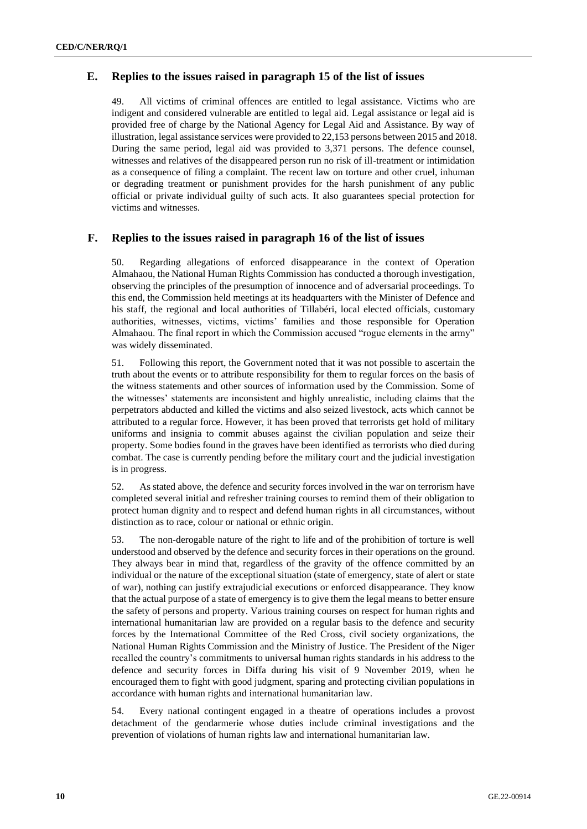#### **E. Replies to the issues raised in paragraph 15 of the list of issues**

49. All victims of criminal offences are entitled to legal assistance. Victims who are indigent and considered vulnerable are entitled to legal aid. Legal assistance or legal aid is provided free of charge by the National Agency for Legal Aid and Assistance. By way of illustration, legal assistance services were provided to 22,153 persons between 2015 and 2018. During the same period, legal aid was provided to 3,371 persons. The defence counsel, witnesses and relatives of the disappeared person run no risk of ill-treatment or intimidation as a consequence of filing a complaint. The recent law on torture and other cruel, inhuman or degrading treatment or punishment provides for the harsh punishment of any public official or private individual guilty of such acts. It also guarantees special protection for victims and witnesses.

#### **F. Replies to the issues raised in paragraph 16 of the list of issues**

50. Regarding allegations of enforced disappearance in the context of Operation Almahaou, the National Human Rights Commission has conducted a thorough investigation, observing the principles of the presumption of innocence and of adversarial proceedings. To this end, the Commission held meetings at its headquarters with the Minister of Defence and his staff, the regional and local authorities of Tillabéri, local elected officials, customary authorities, witnesses, victims, victims' families and those responsible for Operation Almahaou. The final report in which the Commission accused "rogue elements in the army" was widely disseminated.

51. Following this report, the Government noted that it was not possible to ascertain the truth about the events or to attribute responsibility for them to regular forces on the basis of the witness statements and other sources of information used by the Commission. Some of the witnesses' statements are inconsistent and highly unrealistic, including claims that the perpetrators abducted and killed the victims and also seized livestock, acts which cannot be attributed to a regular force. However, it has been proved that terrorists get hold of military uniforms and insignia to commit abuses against the civilian population and seize their property. Some bodies found in the graves have been identified as terrorists who died during combat. The case is currently pending before the military court and the judicial investigation is in progress.

52. As stated above, the defence and security forces involved in the war on terrorism have completed several initial and refresher training courses to remind them of their obligation to protect human dignity and to respect and defend human rights in all circumstances, without distinction as to race, colour or national or ethnic origin.

53. The non-derogable nature of the right to life and of the prohibition of torture is well understood and observed by the defence and security forces in their operations on the ground. They always bear in mind that, regardless of the gravity of the offence committed by an individual or the nature of the exceptional situation (state of emergency, state of alert or state of war), nothing can justify extrajudicial executions or enforced disappearance. They know that the actual purpose of a state of emergency is to give them the legal means to better ensure the safety of persons and property. Various training courses on respect for human rights and international humanitarian law are provided on a regular basis to the defence and security forces by the International Committee of the Red Cross, civil society organizations, the National Human Rights Commission and the Ministry of Justice. The President of the Niger recalled the country's commitments to universal human rights standards in his address to the defence and security forces in Diffa during his visit of 9 November 2019, when he encouraged them to fight with good judgment, sparing and protecting civilian populations in accordance with human rights and international humanitarian law.

54. Every national contingent engaged in a theatre of operations includes a provost detachment of the gendarmerie whose duties include criminal investigations and the prevention of violations of human rights law and international humanitarian law.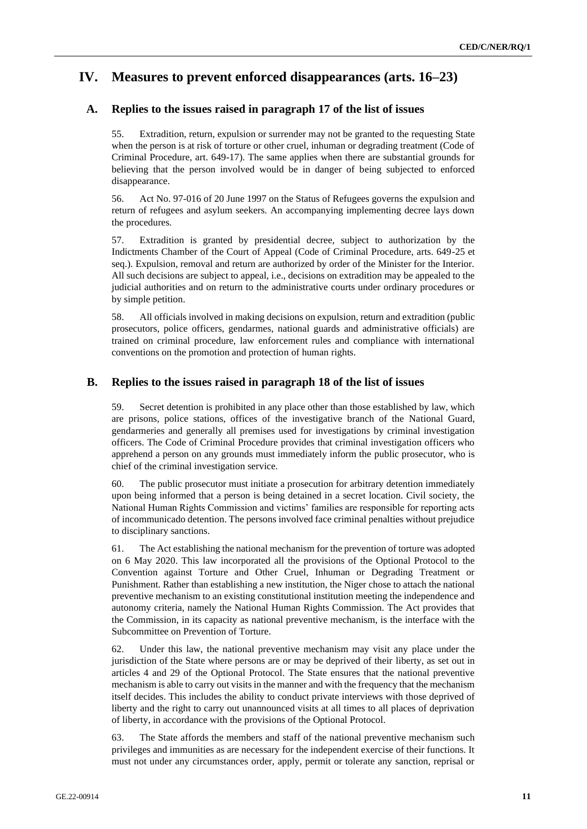## **IV. Measures to prevent enforced disappearances (arts. 16–23)**

#### **A. Replies to the issues raised in paragraph 17 of the list of issues**

55. Extradition, return, expulsion or surrender may not be granted to the requesting State when the person is at risk of torture or other cruel, inhuman or degrading treatment (Code of Criminal Procedure, art. 649-17). The same applies when there are substantial grounds for believing that the person involved would be in danger of being subjected to enforced disappearance.

56. Act No. 97-016 of 20 June 1997 on the Status of Refugees governs the expulsion and return of refugees and asylum seekers. An accompanying implementing decree lays down the procedures.

57. Extradition is granted by presidential decree, subject to authorization by the Indictments Chamber of the Court of Appeal (Code of Criminal Procedure, arts. 649-25 et seq.). Expulsion, removal and return are authorized by order of the Minister for the Interior. All such decisions are subject to appeal, i.e., decisions on extradition may be appealed to the judicial authorities and on return to the administrative courts under ordinary procedures or by simple petition.

58. All officials involved in making decisions on expulsion, return and extradition (public prosecutors, police officers, gendarmes, national guards and administrative officials) are trained on criminal procedure, law enforcement rules and compliance with international conventions on the promotion and protection of human rights.

#### **B. Replies to the issues raised in paragraph 18 of the list of issues**

59. Secret detention is prohibited in any place other than those established by law, which are prisons, police stations, offices of the investigative branch of the National Guard, gendarmeries and generally all premises used for investigations by criminal investigation officers. The Code of Criminal Procedure provides that criminal investigation officers who apprehend a person on any grounds must immediately inform the public prosecutor, who is chief of the criminal investigation service.

60. The public prosecutor must initiate a prosecution for arbitrary detention immediately upon being informed that a person is being detained in a secret location. Civil society, the National Human Rights Commission and victims' families are responsible for reporting acts of incommunicado detention. The persons involved face criminal penalties without prejudice to disciplinary sanctions.

61. The Act establishing the national mechanism for the prevention of torture was adopted on 6 May 2020. This law incorporated all the provisions of the Optional Protocol to the Convention against Torture and Other Cruel, Inhuman or Degrading Treatment or Punishment. Rather than establishing a new institution, the Niger chose to attach the national preventive mechanism to an existing constitutional institution meeting the independence and autonomy criteria, namely the National Human Rights Commission. The Act provides that the Commission, in its capacity as national preventive mechanism, is the interface with the Subcommittee on Prevention of Torture.

62. Under this law, the national preventive mechanism may visit any place under the jurisdiction of the State where persons are or may be deprived of their liberty, as set out in articles 4 and 29 of the Optional Protocol. The State ensures that the national preventive mechanism is able to carry out visits in the manner and with the frequency that the mechanism itself decides. This includes the ability to conduct private interviews with those deprived of liberty and the right to carry out unannounced visits at all times to all places of deprivation of liberty, in accordance with the provisions of the Optional Protocol.

63. The State affords the members and staff of the national preventive mechanism such privileges and immunities as are necessary for the independent exercise of their functions. It must not under any circumstances order, apply, permit or tolerate any sanction, reprisal or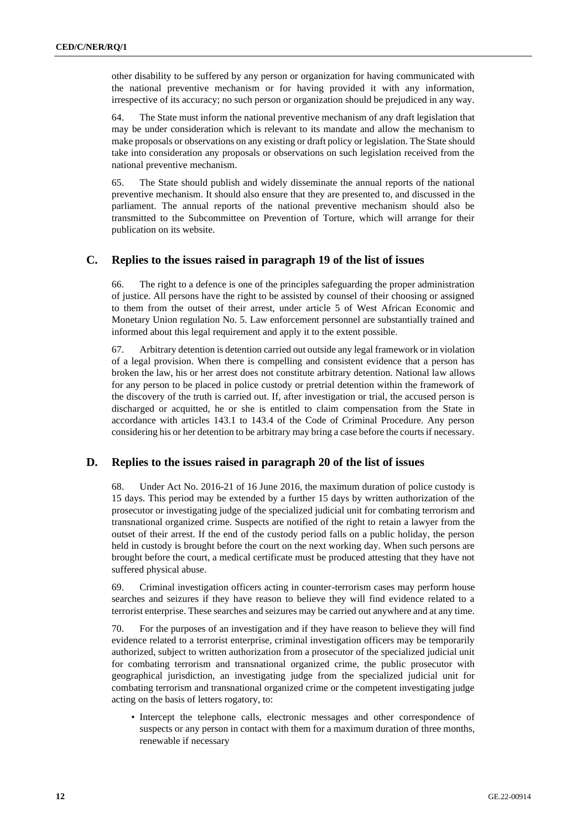other disability to be suffered by any person or organization for having communicated with the national preventive mechanism or for having provided it with any information, irrespective of its accuracy; no such person or organization should be prejudiced in any way.

64. The State must inform the national preventive mechanism of any draft legislation that may be under consideration which is relevant to its mandate and allow the mechanism to make proposals or observations on any existing or draft policy or legislation. The State should take into consideration any proposals or observations on such legislation received from the national preventive mechanism.

65. The State should publish and widely disseminate the annual reports of the national preventive mechanism. It should also ensure that they are presented to, and discussed in the parliament. The annual reports of the national preventive mechanism should also be transmitted to the Subcommittee on Prevention of Torture, which will arrange for their publication on its website.

#### **C. Replies to the issues raised in paragraph 19 of the list of issues**

66. The right to a defence is one of the principles safeguarding the proper administration of justice. All persons have the right to be assisted by counsel of their choosing or assigned to them from the outset of their arrest, under article 5 of West African Economic and Monetary Union regulation No. 5. Law enforcement personnel are substantially trained and informed about this legal requirement and apply it to the extent possible.

67. Arbitrary detention is detention carried out outside any legal framework or in violation of a legal provision. When there is compelling and consistent evidence that a person has broken the law, his or her arrest does not constitute arbitrary detention. National law allows for any person to be placed in police custody or pretrial detention within the framework of the discovery of the truth is carried out. If, after investigation or trial, the accused person is discharged or acquitted, he or she is entitled to claim compensation from the State in accordance with articles 143.1 to 143.4 of the Code of Criminal Procedure. Any person considering his or her detention to be arbitrary may bring a case before the courts if necessary.

#### **D. Replies to the issues raised in paragraph 20 of the list of issues**

68. Under Act No. 2016-21 of 16 June 2016, the maximum duration of police custody is 15 days. This period may be extended by a further 15 days by written authorization of the prosecutor or investigating judge of the specialized judicial unit for combating terrorism and transnational organized crime. Suspects are notified of the right to retain a lawyer from the outset of their arrest. If the end of the custody period falls on a public holiday, the person held in custody is brought before the court on the next working day. When such persons are brought before the court, a medical certificate must be produced attesting that they have not suffered physical abuse.

69. Criminal investigation officers acting in counter-terrorism cases may perform house searches and seizures if they have reason to believe they will find evidence related to a terrorist enterprise. These searches and seizures may be carried out anywhere and at any time.

70. For the purposes of an investigation and if they have reason to believe they will find evidence related to a terrorist enterprise, criminal investigation officers may be temporarily authorized, subject to written authorization from a prosecutor of the specialized judicial unit for combating terrorism and transnational organized crime, the public prosecutor with geographical jurisdiction, an investigating judge from the specialized judicial unit for combating terrorism and transnational organized crime or the competent investigating judge acting on the basis of letters rogatory, to:

• Intercept the telephone calls, electronic messages and other correspondence of suspects or any person in contact with them for a maximum duration of three months, renewable if necessary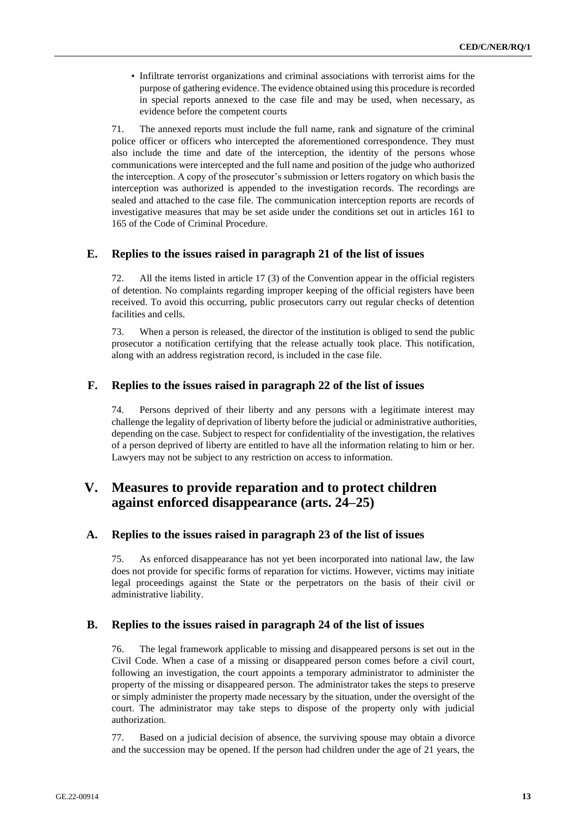• Infiltrate terrorist organizations and criminal associations with terrorist aims for the purpose of gathering evidence. The evidence obtained using this procedure is recorded in special reports annexed to the case file and may be used, when necessary, as evidence before the competent courts

71. The annexed reports must include the full name, rank and signature of the criminal police officer or officers who intercepted the aforementioned correspondence. They must also include the time and date of the interception, the identity of the persons whose communications were intercepted and the full name and position of the judge who authorized the interception. A copy of the prosecutor's submission or letters rogatory on which basis the interception was authorized is appended to the investigation records. The recordings are sealed and attached to the case file. The communication interception reports are records of investigative measures that may be set aside under the conditions set out in articles 161 to 165 of the Code of Criminal Procedure.

#### **E. Replies to the issues raised in paragraph 21 of the list of issues**

72. All the items listed in article 17 (3) of the Convention appear in the official registers of detention. No complaints regarding improper keeping of the official registers have been received. To avoid this occurring, public prosecutors carry out regular checks of detention facilities and cells.

73. When a person is released, the director of the institution is obliged to send the public prosecutor a notification certifying that the release actually took place. This notification, along with an address registration record, is included in the case file.

#### **F. Replies to the issues raised in paragraph 22 of the list of issues**

74. Persons deprived of their liberty and any persons with a legitimate interest may challenge the legality of deprivation of liberty before the judicial or administrative authorities, depending on the case. Subject to respect for confidentiality of the investigation, the relatives of a person deprived of liberty are entitled to have all the information relating to him or her. Lawyers may not be subject to any restriction on access to information.

## **V. Measures to provide reparation and to protect children against enforced disappearance (arts. 24–25)**

#### **A. Replies to the issues raised in paragraph 23 of the list of issues**

75. As enforced disappearance has not yet been incorporated into national law, the law does not provide for specific forms of reparation for victims. However, victims may initiate legal proceedings against the State or the perpetrators on the basis of their civil or administrative liability.

#### **B. Replies to the issues raised in paragraph 24 of the list of issues**

76. The legal framework applicable to missing and disappeared persons is set out in the Civil Code. When a case of a missing or disappeared person comes before a civil court, following an investigation, the court appoints a temporary administrator to administer the property of the missing or disappeared person. The administrator takes the steps to preserve or simply administer the property made necessary by the situation, under the oversight of the court. The administrator may take steps to dispose of the property only with judicial authorization.

77. Based on a judicial decision of absence, the surviving spouse may obtain a divorce and the succession may be opened. If the person had children under the age of 21 years, the